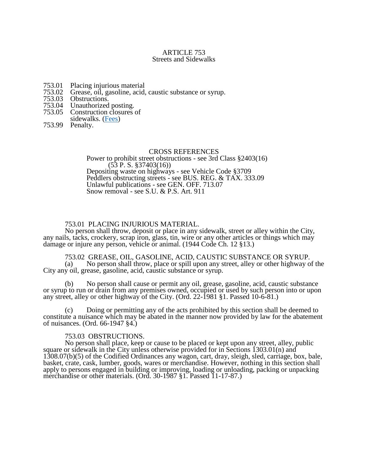#### ARTICLE 753 Streets and Sidewalks

- 753.01 Placing injurious material
- 753.02 Grease, oil, gasoline, acid, caustic substance or syrup.
- 753.03 Obstructions.
- 753.04 Unauthorized posting.
- Construction closures of
- sidewalks. [\(Fees\)](http://yorkcity.org/user-files/file/City%20Council/Article%20753.05%20Fees.PDF)
- 753.99 Penalty.

#### CROSS REFERENCES

Power to prohibit street obstructions - see 3rd Class §2403(16)  $(53 \text{ P. S. }$ \$37403 $(16)$ Depositing waste on highways - see Vehicle Code §3709 Peddlers obstructing streets - see BUS. REG. & TAX. 333.09 Unlawful publications - see GEN. OFF. 713.07 Snow removal - see S.U. & P.S. Art. 911

## 753.01 PLACING INJURIOUS MATERIAL.

No person shall throw, deposit or place in any sidewalk, street or alley within the City, any nails, tacks, crockery, scrap iron, glass, tin, wire or any other articles or things which may damage or injure any person, vehicle or animal. (1944 Code Ch. 12 §13.)

# 753.02 GREASE, OIL, GASOLINE, ACID, CAUSTIC SUBSTANCE OR SYRUP.<br>(a) No person shall throw, place or spill upon any street, alley or other highway o

No person shall throw, place or spill upon any street, alley or other highway of the City any oil, grease, gasoline, acid, caustic substance or syrup.

(b) No person shall cause or permit any oil, grease, gasoline, acid, caustic substance or syrup to run or drain from any premises owned, occupied or used by such person into or upon any street, alley or other highway of the City. (Ord. 22-1981 §1. Passed 10-6-81.)

(c) Doing or permitting any of the acts prohibited by this section shall be deemed to constitute a nuisance which may be abated in the manner now provided by law for the abatement of nuisances. (Ord. 66-1947 §4.)

#### 753.03 OBSTRUCTIONS.

No person shall place, keep or cause to be placed or kept upon any street, alley, public square or sidewalk in the City unless otherwise provided for in Sections 1303.01(n) and 1308.07(b)(5) of the Codified Ordinances any wagon, cart, dray, sleigh, sled, carriage, box, bale, basket, crate, cask, lumber, goods, wares or merchandise. However, nothing in this section shall apply to persons engaged in building or improving, loading or unloading, packing or unpacking merchandise or other materials. (Ord. 30-1987 §1. Passed 11-17-87.)